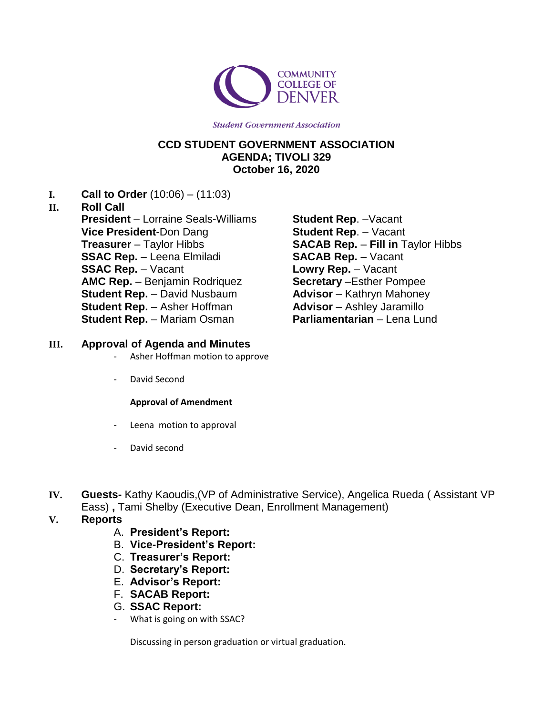

**Student Government Association** 

# **CCD STUDENT GOVERNMENT ASSOCIATION AGENDA; TIVOLI 329 October 16, 2020**

**I. Call to Order** (10:06) – (11:03)

# **II. Roll Call**

**President** – Lorraine Seals-Williams **Vice President**-Don Dang **Treasurer** – Taylor Hibbs **SSAC Rep.** – Leena Elmiladi **SSAC Rep.** – Vacant **AMC Rep.** – Benjamin Rodriquez **Student Rep.** – David Nusbaum **Student Rep.** – Asher Hoffman **Student Rep.** – Mariam Osman

**Student Rep**. –Vacant **Student Rep**. – Vacant **SACAB Rep.** – **Fill in** Taylor Hibbs **SACAB Rep.** – Vacant **Lowry Rep.** – Vacant **Secretary** –Esther Pompee **Advisor** – Kathryn Mahoney **Advisor** – Ashley Jaramillo **Parliamentarian** – Lena Lund

# **III. Approval of Agenda and Minutes**

- Asher Hoffman motion to approve
- David Second

#### **Approval of Amendment**

- Leena motion to approval
- David second
- **IV. Guests-** Kathy Kaoudis,(VP of Administrative Service), Angelica Rueda ( Assistant VP Eass) **,** Tami Shelby (Executive Dean, Enrollment Management)

# **V. Reports**

- A. **President's Report:**
- B. **Vice-President's Report:**
- C. **Treasurer's Report:**
- D. **Secretary's Report:**
- E. **Advisor's Report:**
- F. **SACAB Report:**
- G. **SSAC Report:**
- What is going on with SSAC?

Discussing in person graduation or virtual graduation.